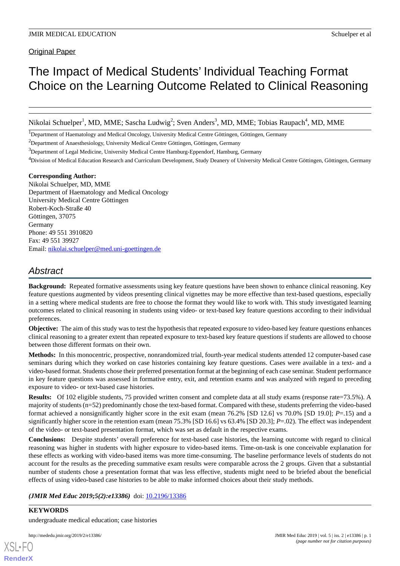Original Paper

# The Impact of Medical Students' Individual Teaching Format Choice on the Learning Outcome Related to Clinical Reasoning

Nikolai Schuelper<sup>1</sup>, MD, MME; Sascha Ludwig<sup>2</sup>; Sven Anders<sup>3</sup>, MD, MME; Tobias Raupach<sup>4</sup>, MD, MME

<sup>1</sup>Department of Haematology and Medical Oncology, University Medical Centre Göttingen, Göttingen, Germany

<sup>2</sup>Department of Anaesthesiology, University Medical Centre Göttingen, Göttingen, Germany

<sup>3</sup>Department of Legal Medicine, University Medical Centre Hamburg-Eppendorf, Hamburg, Germany

<sup>4</sup>Division of Medical Education Research and Curriculum Development, Study Deanery of University Medical Centre Göttingen, Göttingen, Germany

#### **Corresponding Author:**

Nikolai Schuelper, MD, MME Department of Haematology and Medical Oncology University Medical Centre Göttingen Robert-Koch-Straße 40 Göttingen, 37075 Germany Phone: 49 551 3910820 Fax: 49 551 39927 Email: [nikolai.schuelper@med.uni-goettingen.de](mailto:nikolai.schuelper@med.uni-goettingen.de)

## *Abstract*

**Background:** Repeated formative assessments using key feature questions have been shown to enhance clinical reasoning. Key feature questions augmented by videos presenting clinical vignettes may be more effective than text-based questions, especially in a setting where medical students are free to choose the format they would like to work with. This study investigated learning outcomes related to clinical reasoning in students using video- or text-based key feature questions according to their individual preferences.

**Objective:** The aim of this study was to test the hypothesis that repeated exposure to video-based key feature questions enhances clinical reasoning to a greater extent than repeated exposure to text-based key feature questions if students are allowed to choose between those different formats on their own.

**Methods:** In this monocentric, prospective, nonrandomized trial, fourth-year medical students attended 12 computer-based case seminars during which they worked on case histories containing key feature questions. Cases were available in a text- and a video-based format. Students chose their preferred presentation format at the beginning of each case seminar. Student performance in key feature questions was assessed in formative entry, exit, and retention exams and was analyzed with regard to preceding exposure to video- or text-based case histories.

**Results:** Of 102 eligible students, 75 provided written consent and complete data at all study exams (response rate=73.5%). A majority of students (n=52) predominantly chose the text-based format. Compared with these, students preferring the video-based format achieved a nonsignificantly higher score in the exit exam (mean 76.2% [SD 12.6] vs 70.0% [SD 19.0]; *P*=.15) and a significantly higher score in the retention exam (mean 75.3% [SD 16.6] vs 63.4% [SD 20.3]; *P*=.02). The effect was independent of the video- or text-based presentation format, which was set as default in the respective exams.

**Conclusions:** Despite students' overall preference for text-based case histories, the learning outcome with regard to clinical reasoning was higher in students with higher exposure to video-based items. Time-on-task is one conceivable explanation for these effects as working with video-based items was more time-consuming. The baseline performance levels of students do not account for the results as the preceding summative exam results were comparable across the 2 groups. Given that a substantial number of students chose a presentation format that was less effective, students might need to be briefed about the beneficial effects of using video-based case histories to be able to make informed choices about their study methods.

### (JMIR Med Educ 2019;5(2):e13386) doi: [10.2196/13386](http://dx.doi.org/10.2196/13386)

**KEYWORDS**

undergraduate medical education; case histories

[XSL](http://www.w3.org/Style/XSL)•FO **[RenderX](http://www.renderx.com/)**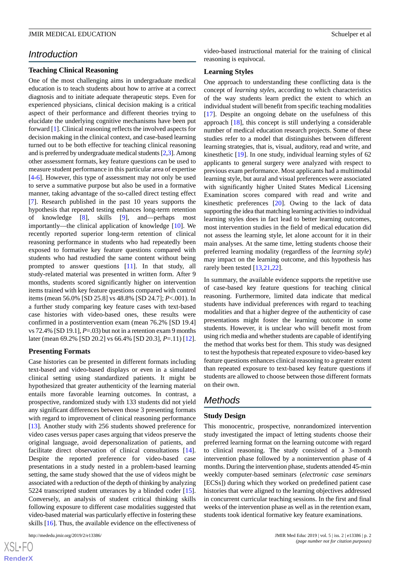### *Introduction*

#### **Teaching Clinical Reasoning**

One of the most challenging aims in undergraduate medical education is to teach students about how to arrive at a correct diagnosis and to initiate adequate therapeutic steps. Even for experienced physicians, clinical decision making is a critical aspect of their performance and different theories trying to elucidate the underlying cognitive mechanisms have been put forward [[1](#page-7-0)]. Clinical reasoning reflects the involved aspects for decision making in the clinical context, and case-based learning turned out to be both effective for teaching clinical reasoning and is preferred by undergraduate medical students [[2,](#page-7-1)[3\]](#page-7-2). Among other assessment formats, key feature questions can be used to measure student performance in this particular area of expertise [[4](#page-7-3)[-6](#page-8-0)]. However, this type of assessment may not only be used to serve a summative purpose but also be used in a formative manner, taking advantage of the so-called direct testing effect [[7\]](#page-8-1). Research published in the past 10 years supports the hypothesis that repeated testing enhances long-term retention of knowledge [\[8](#page-8-2)], skills [[9\]](#page-8-3), and—perhaps most importantly—the clinical application of knowledge [\[10](#page-8-4)]. We recently reported superior long-term retention of clinical reasoning performance in students who had repeatedly been exposed to formative key feature questions compared with students who had restudied the same content without being prompted to answer questions [\[11](#page-8-5)]. In that study, all study-related material was presented in written form. After 9 months, students scored significantly higher on intervention items trained with key feature questions compared with control items (mean 56.0% [SD 25.8] vs 48.8% [SD 24.7]; *P*<.001). In a further study comparing key feature cases with text-based case histories with video-based ones, these results were confirmed in a postintervention exam (mean 76.2% [SD 19.4] vs 72.4% [SD 19.1], *P*=.03) but not in a retention exam 9 months later (mean 69.2% [SD 20.2] vs 66.4% [SD 20.3], *P*=.11) [[12\]](#page-8-6).

#### **Presenting Formats**

Case histories can be presented in different formats including text-based and video-based displays or even in a simulated clinical setting using standardized patients. It might be hypothesized that greater authenticity of the learning material entails more favorable learning outcomes. In contrast, a prospective, randomized study with 133 students did not yield any significant differences between those 3 presenting formats with regard to improvement of clinical reasoning performance [[13\]](#page-8-7). Another study with 256 students showed preference for video cases versus paper cases arguing that videos preserve the original language, avoid depersonalization of patients, and facilitate direct observation of clinical consultations [[14\]](#page-8-8). Despite the reported preference for video-based case presentations in a study nested in a problem-based learning setting, the same study showed that the use of videos might be associated with a reduction of the depth of thinking by analyzing 5224 transcripted student utterances by a blinded coder [[15\]](#page-8-9). Conversely, an analysis of student critical thinking skills following exposure to different case modalities suggested that video-based material was particularly effective in fostering these skills [\[16](#page-8-10)]. Thus, the available evidence on the effectiveness of

 $XS$  • FC **[RenderX](http://www.renderx.com/)** video-based instructional material for the training of clinical reasoning is equivocal.

#### **Learning Styles**

One approach to understanding these conflicting data is the concept of *learning styles*, according to which characteristics of the way students learn predict the extent to which an individual student will benefit from specific teaching modalities [[17\]](#page-8-11). Despite an ongoing debate on the usefulness of this approach [\[18](#page-8-12)], this concept is still underlying a considerable number of medical education research projects. Some of these studies refer to a model that distinguishes between different learning strategies, that is, visual, auditory, read and write, and kinesthetic [\[19](#page-8-13)]. In one study, individual learning styles of 62 applicants to general surgery were analyzed with respect to previous exam performance. Most applicants had a multimodal learning style, but aural and visual preferences were associated with significantly higher United States Medical Licensing Examination scores compared with read and write and kinesthetic preferences [\[20](#page-8-14)]. Owing to the lack of data supporting the idea that matching learning activities to individual learning styles does in fact lead to better learning outcomes, most intervention studies in the field of medical education did not assess the learning style, let alone account for it in their main analyses. At the same time, letting students choose their preferred learning modality (regardless of the *learning style*) may impact on the learning outcome, and this hypothesis has rarely been tested [[13](#page-8-7)[,21](#page-8-15),[22\]](#page-8-16).

In summary, the available evidence supports the repetitive use of case-based key feature questions for teaching clinical reasoning. Furthermore, limited data indicate that medical students have individual preferences with regard to teaching modalities and that a higher degree of the authenticity of case presentations might foster the learning outcome in some students. However, it is unclear who will benefit most from using rich media and whether students are capable of identifying the method that works best for them. This study was designed to test the hypothesis that repeated exposure to video-based key feature questions enhances clinical reasoning to a greater extent than repeated exposure to text-based key feature questions if students are allowed to choose between those different formats on their own.

### *Methods*

#### **Study Design**

This monocentric, prospective, nonrandomized intervention study investigated the impact of letting students choose their preferred learning format on the learning outcome with regard to clinical reasoning. The study consisted of a 3-month intervention phase followed by a nonintervention phase of 4 months. During the intervention phase, students attended 45-min weekly computer-based seminars (*electronic case seminars* [ECSs]) during which they worked on predefined patient case histories that were aligned to the learning objectives addressed in concurrent curricular teaching sessions. In the first and final weeks of the intervention phase as well as in the retention exam, students took identical formative key feature examinations.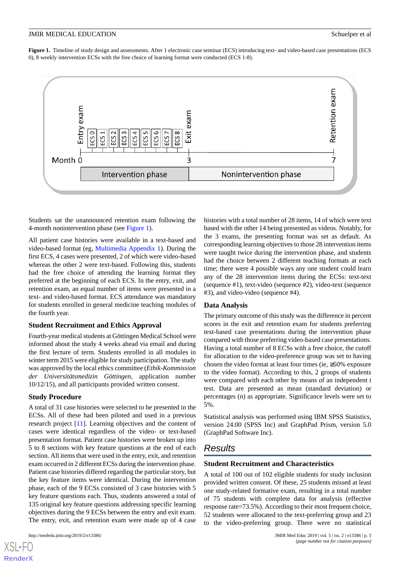<span id="page-2-0"></span>**Figure 1.** Timeline of study design and assessments. After 1 electronic case seminar (ECS) introducing text- and video-based case presentations (ECS 0), 8 weekly intervention ECSs with the free choice of learning format were conducted (ECS 1-8).



Students sat the unannounced retention exam following the 4-month nonintervention phase (see [Figure 1](#page-2-0)).

All patient case histories were available in a text-based and video-based format (eg, [Multimedia Appendix 1](#page-7-4)). During the first ECS, 4 cases were presented, 2 of which were video-based whereas the other 2 were text-based. Following this, students had the free choice of attending the learning format they preferred at the beginning of each ECS. In the entry, exit, and retention exam, an equal number of items were presented in a text- and video-based format. ECS attendance was mandatory for students enrolled in general medicine teaching modules of the fourth year.

#### **Student Recruitment and Ethics Approval**

Fourth-year medical students at Göttingen Medical School were informed about the study 4 weeks ahead via email and during the first lecture of term. Students enrolled in all modules in winter term 2015 were eligible for study participation. The study was approved by the local ethics committee (*Ethik-Kommission der Universitätsmedizin Göttingen*, application number 10/12/15), and all participants provided written consent.

#### **Study Procedure**

A total of 31 case histories were selected to be presented in the ECSs. All of these had been piloted and used in a previous research project [[11\]](#page-8-5). Learning objectives and the content of cases were identical regardless of the video- or text-based presentation format. Patient case histories were broken up into 5 to 8 sections with key feature questions at the end of each section. All items that were used in the entry, exit, and retention exam occurred in 2 different ECSs during the intervention phase. Patient case histories differed regarding the particular story, but the key feature items were identical. During the intervention phase, each of the 9 ECSs consisted of 3 case histories with 5 key feature questions each. Thus, students answered a total of 135 original key feature questions addressing specific learning objectives during the 9 ECSs between the entry and exit exam. The entry, exit, and retention exam were made up of 4 case

[XSL](http://www.w3.org/Style/XSL)•FO **[RenderX](http://www.renderx.com/)**

histories with a total number of 28 items, 14 of which were text based with the other 14 being presented as videos. Notably, for the 3 exams, the presenting format was set as default. As corresponding learning objectives to those 28 intervention items were taught twice during the intervention phase, and students had the choice between 2 different teaching formats at each time; there were 4 possible ways any one student could learn any of the 28 intervention items during the ECSs: text-text (sequence #1), text-video (sequence #2), video-text (sequence #3), and video-video (sequence #4).

#### **Data Analysis**

The primary outcome of this study was the difference in percent scores in the exit and retention exam for students preferring text-based case presentations during the intervention phase compared with those preferring video-based case presentations. Having a total number of 8 ECSs with a free choice, the cutoff for allocation to the video-preference group was set to having chosen the video format at least four times (ie, ≥50% exposure to the video format). According to this, 2 groups of students were compared with each other by means of an independent *t* test. Data are presented as mean (standard deviation) or percentages (n) as appropriate. Significance levels were set to 5%.

Statistical analysis was performed using IBM SPSS Statistics, version 24.00 (SPSS Inc) and GraphPad Prism, version 5.0 (GraphPad Software Inc).

### *Results*

#### **Student Recruitment and Characteristics**

A total of 100 out of 102 eligible students for study inclusion provided written consent. Of these, 25 students missed at least one study-related formative exam, resulting in a total number of 75 students with complete data for analysis (effective response rate=73.5%). According to their most frequent choice, 52 students were allocated to the text-preferring group and 23 to the video-preferring group. There were no statistical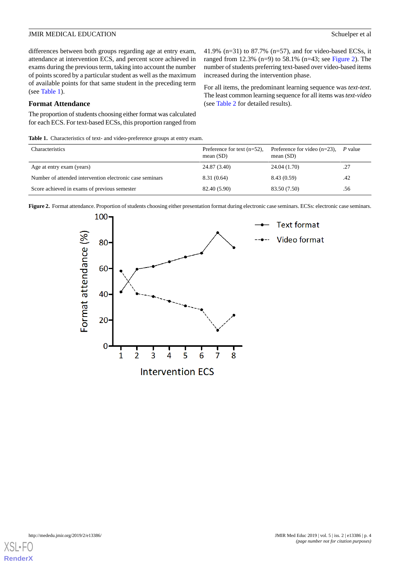41.9% (n=31) to 87.7% (n=57), and for video-based ECSs, it ranged from 12.3% (n=9) to 58.1% (n=43; see [Figure 2](#page-3-1)). The number of students preferring text-based over video-based items

For all items, the predominant learning sequence was *text-text*. The least common learning sequence for all items was *text-video*

increased during the intervention phase.

(see [Table 2](#page-4-0) for detailed results).

differences between both groups regarding age at entry exam, attendance at intervention ECS, and percent score achieved in exams during the previous term, taking into account the number of points scored by a particular student as well as the maximum of available points for that same student in the preceding term (see [Table 1\)](#page-3-0).

#### **Format Attendance**

<span id="page-3-0"></span>The proportion of students choosing either format was calculated for each ECS. For text-based ECSs, this proportion ranged from

Table 1. Characteristics of text- and video-preference groups at entry exam.

| Characteristics                                          | Preference for text $(n=52)$ ,<br>mean $(SD)$ | Preference for video $(n=23)$ ,<br>mean $(SD)$ | P value |
|----------------------------------------------------------|-----------------------------------------------|------------------------------------------------|---------|
| Age at entry exam (years)                                | 24.87 (3.40)                                  | 24.04 (1.70)                                   | .27     |
| Number of attended intervention electronic case seminars | 8.31(0.64)                                    | 8.43 (0.59)                                    | .42     |
| Score achieved in exams of previous semester             | 82.40 (5.90)                                  | 83.50 (7.50)                                   | .56     |

<span id="page-3-1"></span>Figure 2. Format attendance. Proportion of students choosing either presentation format during electronic case seminars. ECSs: electronic case seminars.



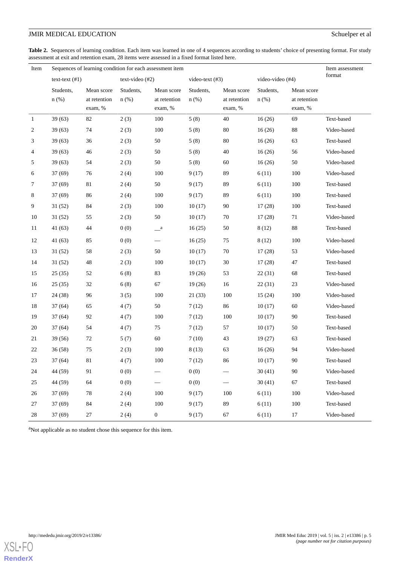<span id="page-4-0"></span>Table 2. Sequences of learning condition. Each item was learned in one of 4 sequences according to students' choice of presenting format. For study assessment at exit and retention exam, 28 items were assessed in a fixed format listed here.

| Item         |                        | Sequences of learning condition for each assessment item |                      |                                       |                      |                                       |                      |                                       |             |
|--------------|------------------------|----------------------------------------------------------|----------------------|---------------------------------------|----------------------|---------------------------------------|----------------------|---------------------------------------|-------------|
|              | $texttext{ text}$ (#1) |                                                          | $text{-video (#2)}$  |                                       | video-text $(#3)$    |                                       | video-video (#4)     |                                       | format      |
|              | Students,<br>$n$ (%)   | Mean score<br>at retention<br>exam, %                    | Students,<br>$n$ (%) | Mean score<br>at retention<br>exam, % | Students,<br>$n$ (%) | Mean score<br>at retention<br>exam, % | Students.<br>$n$ (%) | Mean score<br>at retention<br>exam, % |             |
| $\mathbf{1}$ | 39(63)                 | 82                                                       | 2(3)                 | 100                                   | 5(8)                 | 40                                    | 16(26)               | 69                                    | Text-based  |
| 2            | 39(63)                 | 74                                                       | 2(3)                 | 100                                   | 5(8)                 | 80                                    | 16(26)               | 88                                    | Video-based |
| 3            | 39(63)                 | 36                                                       | 2(3)                 | 50                                    | 5(8)                 | 80                                    | 16(26)               | 63                                    | Text-based  |
| 4            | 39(63)                 | 46                                                       | 2(3)                 | 50                                    | 5(8)                 | 40                                    | 16(26)               | 56                                    | Video-based |
| 5            | 39(63)                 | 54                                                       | 2(3)                 | 50                                    | 5(8)                 | 60                                    | 16(26)               | 50                                    | Video-based |
| 6            | 37(69)                 | 76                                                       | 2(4)                 | 100                                   | 9(17)                | 89                                    | 6(11)                | 100                                   | Video-based |
| 7            | 37(69)                 | 81                                                       | 2(4)                 | 50                                    | 9(17)                | 89                                    | 6(11)                | 100                                   | Text-based  |
| 8            | 37(69)                 | 86                                                       | 2(4)                 | 100                                   | 9(17)                | 89                                    | 6(11)                | 100                                   | Text-based  |
| 9            | 31(52)                 | 84                                                       | 2(3)                 | 100                                   | 10(17)               | 90                                    | 17(28)               | 100                                   | Text-based  |
| 10           | 31(52)                 | 55                                                       | 2(3)                 | 50                                    | 10(17)               | 70                                    | 17(28)               | 71                                    | Video-based |
| 11           | 41(63)                 | 44                                                       | 0(0)                 | $\_\_a$                               | 16(25)               | 50                                    | 8(12)                | 88                                    | Text-based  |
| 12           | 41(63)                 | 85                                                       | 0(0)                 |                                       | 16(25)               | 75                                    | 8(12)                | 100                                   | Video-based |
| 13           | 31(52)                 | 58                                                       | 2(3)                 | 50                                    | 10(17)               | 70                                    | 17(28)               | 53                                    | Video-based |
| 14           | 31(52)                 | 48                                                       | 2(3)                 | 100                                   | 10(17)               | 30                                    | 17(28)               | 47                                    | Text-based  |
| 15           | 25(35)                 | 52                                                       | 6(8)                 | 83                                    | 19(26)               | 53                                    | 22(31)               | 68                                    | Text-based  |
| 16           | 25(35)                 | 32                                                       | 6(8)                 | 67                                    | 19(26)               | 16                                    | 22(31)               | 23                                    | Video-based |
| 17           | 24 (38)                | 96                                                       | 3(5)                 | 100                                   | 21(33)               | 100                                   | 15(24)               | 100                                   | Video-based |
| 18           | 37(64)                 | 65                                                       | 4(7)                 | 50                                    | 7(12)                | 86                                    | 10(17)               | 60                                    | Video-based |
| 19           | 37(64)                 | 92                                                       | 4(7)                 | 100                                   | 7(12)                | 100                                   | 10(17)               | 90                                    | Text-based  |
| 20           | 37(64)                 | 54                                                       | 4(7)                 | 75                                    | 7(12)                | 57                                    | 10(17)               | 50                                    | Text-based  |
| 21           | 39(56)                 | $72\,$                                                   | 5(7)                 | 60                                    | 7(10)                | 43                                    | 19(27)               | 63                                    | Text-based  |
| 22           | 36(58)                 | 75                                                       | 2(3)                 | 100                                   | 8(13)                | 63                                    | 16(26)               | 94                                    | Video-based |
| 23           | 37(64)                 | 81                                                       | 4(7)                 | 100                                   | 7(12)                | 86                                    | 10(17)               | 90                                    | Text-based  |
| 24           | 44 (59)                | 91                                                       | 0(0)                 |                                       | 0(0)                 |                                       | 30(41)               | 90                                    | Video-based |
| 25           | 44 (59)                | 64                                                       | 0(0)                 |                                       | 0(0)                 | $\overbrace{\phantom{13333}}$         | 30(41)               | 67                                    | Text-based  |
| 26           | 37 (69)                | 78                                                       | 2(4)                 | 100                                   | 9(17)                | 100                                   | 6(11)                | 100                                   | Video-based |
| 27           | 37(69)                 | 84                                                       | 2(4)                 | 100                                   | 9(17)                | 89                                    | 6(11)                | 100                                   | Text-based  |
| 28           | 37 (69)                | 27                                                       | 2(4)                 | $\boldsymbol{0}$                      | 9(17)                | 67                                    | 6(11)                | 17                                    | Video-based |

<sup>a</sup>Not applicable as no student chose this sequence for this item.

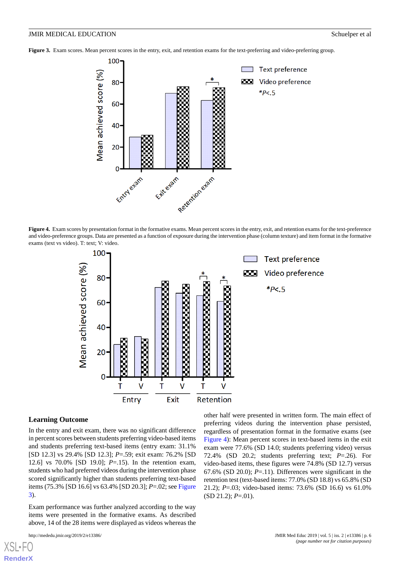<span id="page-5-0"></span>**Figure 3.** Exam scores. Mean percent scores in the entry, exit, and retention exams for the text-preferring and video-preferring group.



<span id="page-5-1"></span>**Figure 4.** Exam scores by presentation format in the formative exams. Mean percent scores in the entry, exit, and retention exams for the text-preference and video-preference groups. Data are presented as a function of exposure during the intervention phase (column texture) and item format in the formative exams (text vs video). T: text; V: video.



#### **Learning Outcome**

In the entry and exit exam, there was no significant difference in percent scores between students preferring video-based items and students preferring text-based items (entry exam: 31.1% [SD 12.3] vs 29.4% [SD 12.3]; *P*=.59; exit exam: 76.2% [SD 12.6] vs 70.0% [SD 19.0]; *P*=.15). In the retention exam, students who had preferred videos during the intervention phase scored significantly higher than students preferring text-based items (75.3% [SD 16.6] vs 63.4% [SD 20.3]; *P*=.02; see [Figure](#page-5-0) [3\)](#page-5-0).

Exam performance was further analyzed according to the way items were presented in the formative exams. As described above, 14 of the 28 items were displayed as videos whereas the

[XSL](http://www.w3.org/Style/XSL)•FO **[RenderX](http://www.renderx.com/)**

other half were presented in written form. The main effect of preferring videos during the intervention phase persisted, regardless of presentation format in the formative exams (see [Figure 4\)](#page-5-1): Mean percent scores in text-based items in the exit exam were 77.6% (SD 14.0; students preferring video) versus 72.4% (SD 20.2; students preferring text; *P*=.26). For video-based items, these figures were 74.8% (SD 12.7) versus 67.6% (SD 20.0);  $P = 11$ ). Differences were significant in the retention test (text-based items: 77.0% (SD 18.8) vs 65.8% (SD 21.2); *P*=.03; video-based items: 73.6% (SD 16.6) vs 61.0% (SD 21.2); *P*=.01).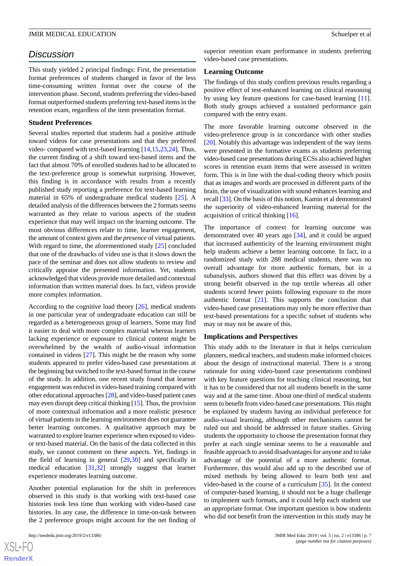### *Discussion*

This study yielded 2 principal findings: First, the presentation format preferences of students changed in favor of the less time-consuming written format over the course of the intervention phase. Second, students preferring the video-based format outperformed students preferring text-based items in the retention exam, regardless of the item presentation format.

#### **Student Preferences**

Several studies reported that students had a positive attitude toward videos for case presentations and that they preferred video- compared with text-based learning [[14,](#page-8-8)[15](#page-8-9),[23,](#page-8-17)[24](#page-8-18)]. Thus, the current finding of a shift toward text-based items and the fact that almost 70% of enrolled students had to be allocated to the text-preference group is somewhat surprising. However, this finding is in accordance with results from a recently published study reporting a preference for text-based learning material in 65% of undergraduate medical students [\[25](#page-8-19)]. A detailed analysis of the differences between the 2 formats seems warranted as they relate to various aspects of the student experience that may well impact on the learning outcome. The most obvious differences relate to time, learner engagement, the amount of context given and the *presence* of virtual patients. With regard to time, the aforementioned study [\[25](#page-8-19)] concluded that one of the drawbacks of video use is that it slows down the pace of the seminar and does not allow students to review and critically appraise the presented information. Yet, students acknowledged that videos provide more detailed and contextual information than written material does. In fact, videos provide more complex information.

According to the cognitive load theory [\[26](#page-8-20)], medical students in one particular year of undergraduate education can still be regarded as a heterogeneous group of learners. Some may find it easier to deal with more complex material whereas learners lacking experience or exposure to clinical content might be overwhelmed by the wealth of audio-visual information contained in videos [[27\]](#page-8-21). This might be the reason why some students appeared to prefer video-based case presentations at the beginning but switched to the text-based format in the course of the study. In addition, one recent study found that learner engagement was reduced in video-based training compared with other educational approaches [\[28](#page-8-22)], and video-based patient cases may even disrupt deep critical thinking [[15\]](#page-8-9). Thus, the provision of more contextual information and a more realistic presence of virtual patients in the learning environment does not guarantee better learning outcomes. A qualitative approach may be warranted to explore learner experience when exposed to videoor text-based material. On the basis of the data collected in this study, we cannot comment on these aspects. Yet, findings in the field of learning in general [\[29](#page-8-23),[30\]](#page-9-0) and specifically in medical education [\[31](#page-9-1),[32\]](#page-9-2) strongly suggest that learner experience moderates learning outcome.

Another potential explanation for the shift in preferences observed in this study is that working with text-based case histories took less time than working with video-based case histories. In any case, the difference in time-on-task between the 2 preference groups might account for the net finding of

superior retention exam performance in students preferring video-based case presentations.

#### **Learning Outcome**

The findings of this study confirm previous results regarding a positive effect of test-enhanced learning on clinical reasoning by using key feature questions for case-based learning [[11\]](#page-8-5). Both study groups achieved a sustained performance gain compared with the entry exam.

The more favorable learning outcome observed in the video-preference group is in concordance with other studies [[20\]](#page-8-14). Notably this advantage was independent of the way items were presented in the formative exams as students preferring video-based case presentations during ECSs also achieved higher scores in retention exam items that were assessed in written form. This is in line with the dual-coding theory which posits that as images and words are processed in different parts of the brain, the use of visualization with sound enhances learning and recall [[33](#page-9-3)]. On the basis of this notion, Kamin et al demonstrated the superiority of video-enhanced learning material for the acquisition of critical thinking [\[16](#page-8-10)].

The importance of context for learning outcome was demonstrated over 40 years ago [\[34](#page-9-4)], and it could be argued that increased authenticity of the learning environment might help students achieve a better learning outcome. In fact, in a randomized study with 288 medical students, there was no overall advantage for more authentic formats, but in a subanalysis, authors showed that this effect was driven by a strong benefit observed in the top tertile whereas all other students scored fewer points following exposure to the more authentic format [[21\]](#page-8-15). This supports the conclusion that video-based case presentations may only be more effective than text-based presentations for a specific subset of students who may or may not be aware of this.

#### **Implications and Perspectives**

This study adds to the literature in that it helps curriculum planners, medical teachers, and students make informed choices about the design of instructional material. There is a strong rationale for using video-based case presentations combined with key feature questions for teaching clinical reasoning, but it has to be considered that not all students benefit in the same way and at the same time. About one-third of medical students seem to benefit from video-based case presentations. This might be explained by students having an individual preference for audio-visual learning, although other mechanisms cannot be ruled out and should be addressed in future studies. Giving students the opportunity to choose the presentation format they prefer at each single seminar seems to be a reasonable and feasible approach to avoid disadvantages for anyone and to take advantage of the potential of a more authentic format. Furthermore, this would also add up to the described use of mixed methods by being allowed to learn both text and video-based in the course of a curriculum [\[35](#page-9-5)]. In the context of computer-based learning, it should not be a huge challenge to implement such formats, and it could help each student use an appropriate format. One important question is how students who did not benefit from the intervention in this study may be

```
XS-FO
RenderX
```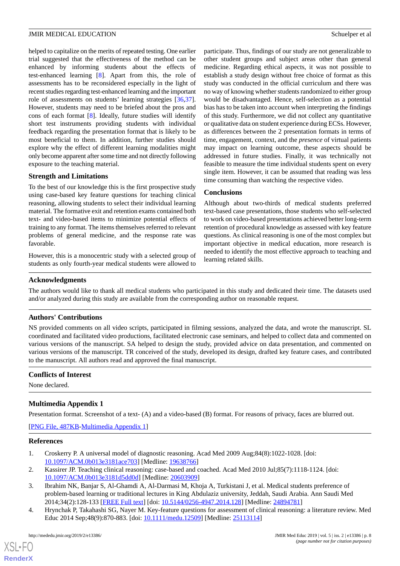helped to capitalize on the merits of repeated testing. One earlier trial suggested that the effectiveness of the method can be enhanced by informing students about the effects of test-enhanced learning [[8\]](#page-8-2). Apart from this, the role of assessments has to be reconsidered especially in the light of recent studies regarding test-enhanced learning and the important role of assessments on students' learning strategies [\[36](#page-9-6),[37\]](#page-9-7). However, students may need to be briefed about the pros and cons of each format [\[8](#page-8-2)]. Ideally, future studies will identify short test instruments providing students with individual feedback regarding the presentation format that is likely to be most beneficial to them. In addition, further studies should explore why the effect of different learning modalities might only become apparent after some time and not directly following exposure to the teaching material.

#### **Strength and Limitations**

To the best of our knowledge this is the first prospective study using case-based key feature questions for teaching clinical reasoning, allowing students to select their individual learning material. The formative exit and retention exams contained both text- and video-based items to minimize potential effects of training to any format. The items themselves referred to relevant problems of general medicine, and the response rate was favorable.

However, this is a monocentric study with a selected group of students as only fourth-year medical students were allowed to

participate. Thus, findings of our study are not generalizable to other student groups and subject areas other than general medicine. Regarding ethical aspects, it was not possible to establish a study design without free choice of format as this study was conducted in the official curriculum and there was no way of knowing whether students randomized to either group would be disadvantaged. Hence, self-selection as a potential bias has to be taken into account when interpreting the findings of this study. Furthermore, we did not collect any quantitative or qualitative data on student experience during ECSs. However, as differences between the 2 presentation formats in terms of time, engagement, context, and the *presence* of virtual patients may impact on learning outcome, these aspects should be addressed in future studies. Finally, it was technically not feasible to measure the time individual students spent on every single item. However, it can be assumed that reading was less time consuming than watching the respective video.

#### **Conclusions**

Although about two-thirds of medical students preferred text-based case presentations, those students who self-selected to work on video-based presentations achieved better long-term retention of procedural knowledge as assessed with key feature questions. As clinical reasoning is one of the most complex but important objective in medical education, more research is needed to identify the most effective approach to teaching and learning related skills.

#### **Acknowledgments**

The authors would like to thank all medical students who participated in this study and dedicated their time. The datasets used and/or analyzed during this study are available from the corresponding author on reasonable request.

### **Authors' Contributions**

NS provided comments on all video scripts, participated in filming sessions, analyzed the data, and wrote the manuscript. SL coordinated and facilitated video productions, facilitated electronic case seminars, and helped to collect data and commented on various versions of the manuscript. SA helped to design the study, provided advice on data presentation, and commented on various versions of the manuscript. TR conceived of the study, developed its design, drafted key feature cases, and contributed to the manuscript. All authors read and approved the final manuscript.

#### <span id="page-7-4"></span>**Conflicts of Interest**

None declared.

### <span id="page-7-0"></span>**Multimedia Appendix 1**

Presentation format. Screenshot of a text- (A) and a video-based (B) format. For reasons of privacy, faces are blurred out.

<span id="page-7-1"></span>[[PNG File, 487KB-Multimedia Appendix 1](https://jmir.org/api/download?alt_name=mededu_v5i2e13386_app1.png&filename=ec144bd8c367b764747471d7eaa2f0c5.png)]

#### <span id="page-7-2"></span>**References**

 $XS$  $\cdot$ FC **[RenderX](http://www.renderx.com/)**

- <span id="page-7-3"></span>1. Croskerry P. A universal model of diagnostic reasoning. Acad Med 2009 Aug;84(8):1022-1028. [doi: [10.1097/ACM.0b013e3181ace703](http://dx.doi.org/10.1097/ACM.0b013e3181ace703)] [Medline: [19638766](http://www.ncbi.nlm.nih.gov/entrez/query.fcgi?cmd=Retrieve&db=PubMed&list_uids=19638766&dopt=Abstract)]
- 2. Kassirer JP. Teaching clinical reasoning: case-based and coached. Acad Med 2010 Jul;85(7):1118-1124. [doi: [10.1097/ACM.0b013e3181d5dd0d](http://dx.doi.org/10.1097/ACM.0b013e3181d5dd0d)] [Medline: [20603909\]](http://www.ncbi.nlm.nih.gov/entrez/query.fcgi?cmd=Retrieve&db=PubMed&list_uids=20603909&dopt=Abstract)
- 3. Ibrahim NK, Banjar S, Al-Ghamdi A, Al-Darmasi M, Khoja A, Turkistani J, et al. Medical students preference of problem-based learning or traditional lectures in King Abdulaziz university, Jeddah, Saudi Arabia. Ann Saudi Med 2014;34(2):128-133 [[FREE Full text](https://www.annsaudimed.net/doi/full/10.5144/0256-4947.2014.128?url_ver=Z39.88-2003&rfr_id=ori:rid:crossref.org&rfr_dat=cr_pub%3dpubmed)] [doi: [10.5144/0256-4947.2014.128](http://dx.doi.org/10.5144/0256-4947.2014.128)] [Medline: [24894781\]](http://www.ncbi.nlm.nih.gov/entrez/query.fcgi?cmd=Retrieve&db=PubMed&list_uids=24894781&dopt=Abstract)
- 4. Hrynchak P, Takahashi SG, Nayer M. Key-feature questions for assessment of clinical reasoning: a literature review. Med Educ 2014 Sep;48(9):870-883. [doi: [10.1111/medu.12509](http://dx.doi.org/10.1111/medu.12509)] [Medline: [25113114\]](http://www.ncbi.nlm.nih.gov/entrez/query.fcgi?cmd=Retrieve&db=PubMed&list_uids=25113114&dopt=Abstract)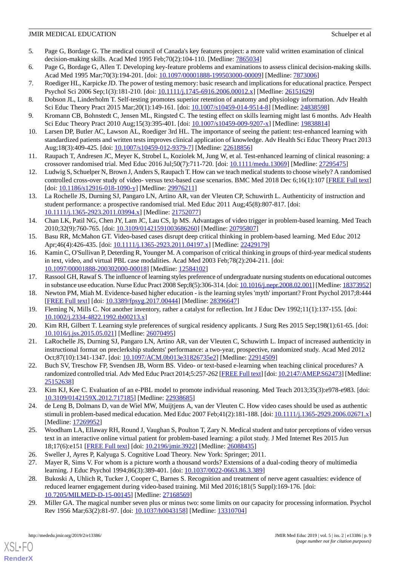- 5. Page G, Bordage G. The medical council of Canada's key features project: a more valid written examination of clinical decision-making skills. Acad Med 1995 Feb;70(2):104-110. [Medline: [7865034](http://www.ncbi.nlm.nih.gov/entrez/query.fcgi?cmd=Retrieve&db=PubMed&list_uids=7865034&dopt=Abstract)]
- <span id="page-8-1"></span><span id="page-8-0"></span>6. Page G, Bordage G, Allen T. Developing key-feature problems and examinations to assess clinical decision-making skills. Acad Med 1995 Mar;70(3):194-201. [doi: [10.1097/00001888-199503000-00009\]](http://dx.doi.org/10.1097/00001888-199503000-00009) [Medline: [7873006\]](http://www.ncbi.nlm.nih.gov/entrez/query.fcgi?cmd=Retrieve&db=PubMed&list_uids=7873006&dopt=Abstract)
- <span id="page-8-2"></span>7. Roediger HL, Karpicke JD. The power of testing memory: basic research and implications for educational practice. Perspect Psychol Sci 2006 Sep;1(3):181-210. [doi:  $10.1111/j.1745-6916.2006.00012.x$ ] [Medline: [26151629\]](http://www.ncbi.nlm.nih.gov/entrez/query.fcgi?cmd=Retrieve&db=PubMed&list_uids=26151629&dopt=Abstract)
- <span id="page-8-3"></span>8. Dobson JL, Linderholm T. Self-testing promotes superior retention of anatomy and physiology information. Adv Health Sci Educ Theory Pract 2015 Mar;20(1):149-161. [doi: [10.1007/s10459-014-9514-8\]](http://dx.doi.org/10.1007/s10459-014-9514-8) [Medline: [24838598](http://www.ncbi.nlm.nih.gov/entrez/query.fcgi?cmd=Retrieve&db=PubMed&list_uids=24838598&dopt=Abstract)]
- <span id="page-8-4"></span>9. Kromann CB, Bohnstedt C, Jensen ML, Ringsted C. The testing effect on skills learning might last 6 months. Adv Health Sci Educ Theory Pract 2010 Aug;15(3):395-401. [doi: [10.1007/s10459-009-9207-x](http://dx.doi.org/10.1007/s10459-009-9207-x)] [Medline: [19838814\]](http://www.ncbi.nlm.nih.gov/entrez/query.fcgi?cmd=Retrieve&db=PubMed&list_uids=19838814&dopt=Abstract)
- <span id="page-8-5"></span>10. Larsen DP, Butler AC, Lawson AL, Roediger 3rd HL. The importance of seeing the patient: test-enhanced learning with standardized patients and written tests improves clinical application of knowledge. Adv Health Sci Educ Theory Pract 2013 Aug;18(3):409-425. [doi: [10.1007/s10459-012-9379-7\]](http://dx.doi.org/10.1007/s10459-012-9379-7) [Medline: [22618856\]](http://www.ncbi.nlm.nih.gov/entrez/query.fcgi?cmd=Retrieve&db=PubMed&list_uids=22618856&dopt=Abstract)
- <span id="page-8-6"></span>11. Raupach T, Andresen JC, Meyer K, Strobel L, Koziolek M, Jung W, et al. Test-enhanced learning of clinical reasoning: a crossover randomised trial. Med Educ 2016 Jul;50(7):711-720. [doi: [10.1111/medu.13069](http://dx.doi.org/10.1111/medu.13069)] [Medline: [27295475](http://www.ncbi.nlm.nih.gov/entrez/query.fcgi?cmd=Retrieve&db=PubMed&list_uids=27295475&dopt=Abstract)]
- <span id="page-8-7"></span>12. Ludwig S, Schuelper N, Brown J, Anders S, Raupach T. How can we teach medical students to choose wisely? A randomised controlled cross-over study of video- versus text-based case scenarios. BMC Med 2018 Dec 6;16(1):107 [\[FREE Full text](https://bmcmedicine.biomedcentral.com/articles/10.1186/s12916-018-1090-y)] [doi: [10.1186/s12916-018-1090-y](http://dx.doi.org/10.1186/s12916-018-1090-y)] [Medline: [29976211\]](http://www.ncbi.nlm.nih.gov/entrez/query.fcgi?cmd=Retrieve&db=PubMed&list_uids=29976211&dopt=Abstract)
- <span id="page-8-8"></span>13. La Rochelle JS, Durning SJ, Pangaro LN, Artino AR, van der Vleuten CP, Schuwirth L. Authenticity of instruction and student performance: a prospective randomised trial. Med Educ 2011 Aug;45(8):807-817. [doi: [10.1111/j.1365-2923.2011.03994.x\]](http://dx.doi.org/10.1111/j.1365-2923.2011.03994.x) [Medline: [21752077\]](http://www.ncbi.nlm.nih.gov/entrez/query.fcgi?cmd=Retrieve&db=PubMed&list_uids=21752077&dopt=Abstract)
- <span id="page-8-10"></span><span id="page-8-9"></span>14. Chan LK, Patil NG, Chen JY, Lam JC, Lau CS, Ip MS. Advantages of video trigger in problem-based learning. Med Teach 2010;32(9):760-765. [doi: [10.3109/01421591003686260\]](http://dx.doi.org/10.3109/01421591003686260) [Medline: [20795807\]](http://www.ncbi.nlm.nih.gov/entrez/query.fcgi?cmd=Retrieve&db=PubMed&list_uids=20795807&dopt=Abstract)
- 15. Basu RR, McMahon GT. Video-based cases disrupt deep critical thinking in problem-based learning. Med Educ 2012 Apr;46(4):426-435. [doi: [10.1111/j.1365-2923.2011.04197.x](http://dx.doi.org/10.1111/j.1365-2923.2011.04197.x)] [Medline: [22429179](http://www.ncbi.nlm.nih.gov/entrez/query.fcgi?cmd=Retrieve&db=PubMed&list_uids=22429179&dopt=Abstract)]
- <span id="page-8-12"></span><span id="page-8-11"></span>16. Kamin C, O'Sullivan P, Deterding R, Younger M. A comparison of critical thinking in groups of third-year medical students in text, video, and virtual PBL case modalities. Acad Med 2003 Feb;78(2):204-211. [doi: [10.1097/00001888-200302000-00018](http://dx.doi.org/10.1097/00001888-200302000-00018)] [Medline: [12584102](http://www.ncbi.nlm.nih.gov/entrez/query.fcgi?cmd=Retrieve&db=PubMed&list_uids=12584102&dopt=Abstract)]
- <span id="page-8-13"></span>17. Rassool GH, Rawaf S. The influence of learning styles preference of undergraduate nursing students on educational outcomes in substance use education. Nurse Educ Pract 2008 Sep;8(5):306-314. [doi: [10.1016/j.nepr.2008.02.001\]](http://dx.doi.org/10.1016/j.nepr.2008.02.001) [Medline: [18373952](http://www.ncbi.nlm.nih.gov/entrez/query.fcgi?cmd=Retrieve&db=PubMed&list_uids=18373952&dopt=Abstract)]
- <span id="page-8-14"></span>18. Newton PM, Miah M. Evidence-based higher education - is the learning styles 'myth' important? Front Psychol 2017;8:444 [[FREE Full text](https://dx.doi.org/10.3389/fpsyg.2017.00444)] [doi: [10.3389/fpsyg.2017.00444\]](http://dx.doi.org/10.3389/fpsyg.2017.00444) [Medline: [28396647\]](http://www.ncbi.nlm.nih.gov/entrez/query.fcgi?cmd=Retrieve&db=PubMed&list_uids=28396647&dopt=Abstract)
- <span id="page-8-15"></span>19. Fleming N, Mills C. Not another inventory, rather a catalyst for reflection. Int J Educ Dev 1992;11(1):137-155. [doi: [10.1002/j.2334-4822.1992.tb00213.x\]](http://dx.doi.org/10.1002/j.2334-4822.1992.tb00213.x)
- <span id="page-8-16"></span>20. Kim RH, Gilbert T. Learning style preferences of surgical residency applicants. J Surg Res 2015 Sep;198(1):61-65. [doi: [10.1016/j.jss.2015.05.021](http://dx.doi.org/10.1016/j.jss.2015.05.021)] [Medline: [26070495\]](http://www.ncbi.nlm.nih.gov/entrez/query.fcgi?cmd=Retrieve&db=PubMed&list_uids=26070495&dopt=Abstract)
- <span id="page-8-17"></span>21. LaRochelle JS, Durning SJ, Pangaro LN, Artino AR, van der Vleuten C, Schuwirth L. Impact of increased authenticity in instructional format on preclerkship students' performance: a two-year, prospective, randomized study. Acad Med 2012 Oct;87(10):1341-1347. [doi: [10.1097/ACM.0b013e31826735e2\]](http://dx.doi.org/10.1097/ACM.0b013e31826735e2) [Medline: [22914509\]](http://www.ncbi.nlm.nih.gov/entrez/query.fcgi?cmd=Retrieve&db=PubMed&list_uids=22914509&dopt=Abstract)
- <span id="page-8-18"></span>22. Buch SV, Treschow FP, Svendsen JB, Worm BS. Video- or text-based e-learning when teaching clinical procedures? A randomized controlled trial. Adv Med Educ Pract 2014;5:257-262 [[FREE Full text](https://dx.doi.org/10.2147/AMEP.S62473)] [doi: [10.2147/AMEP.S62473](http://dx.doi.org/10.2147/AMEP.S62473)] [Medline: [25152638](http://www.ncbi.nlm.nih.gov/entrez/query.fcgi?cmd=Retrieve&db=PubMed&list_uids=25152638&dopt=Abstract)]
- <span id="page-8-19"></span>23. Kim KJ, Kee C. Evaluation of an e-PBL model to promote individual reasoning. Med Teach 2013;35(3):e978-e983. [doi: [10.3109/0142159X.2012.717185](http://dx.doi.org/10.3109/0142159X.2012.717185)] [Medline: [22938685\]](http://www.ncbi.nlm.nih.gov/entrez/query.fcgi?cmd=Retrieve&db=PubMed&list_uids=22938685&dopt=Abstract)
- <span id="page-8-21"></span><span id="page-8-20"></span>24. de Leng B, Dolmans D, van de Wiel MW, Muijtjens A, van der Vleuten C. How video cases should be used as authentic stimuli in problem-based medical education. Med Educ 2007 Feb;41(2):181-188. [doi: [10.1111/j.1365-2929.2006.02671.x\]](http://dx.doi.org/10.1111/j.1365-2929.2006.02671.x) [Medline: [17269952](http://www.ncbi.nlm.nih.gov/entrez/query.fcgi?cmd=Retrieve&db=PubMed&list_uids=17269952&dopt=Abstract)]
- <span id="page-8-22"></span>25. Woodham LA, Ellaway RH, Round J, Vaughan S, Poulton T, Zary N. Medical student and tutor perceptions of video versus text in an interactive online virtual patient for problem-based learning: a pilot study. J Med Internet Res 2015 Jun 18;17(6):e151 [\[FREE Full text](http://www.jmir.org/2015/6/e151/)] [doi: [10.2196/jmir.3922](http://dx.doi.org/10.2196/jmir.3922)] [Medline: [26088435](http://www.ncbi.nlm.nih.gov/entrez/query.fcgi?cmd=Retrieve&db=PubMed&list_uids=26088435&dopt=Abstract)]
- <span id="page-8-23"></span>26. Sweller J, Ayres P, Kalyuga S. Cognitive Load Theory. New York: Springer; 2011.
- 27. Mayer R, Sims V. For whom is a picture worth a thousand words? Extensions of a dual-coding theory of multimedia learning. J Educ Psychol 1994;86(3):389-401. [doi: [10.1037/0022-0663.86.3.389\]](http://dx.doi.org/10.1037/0022-0663.86.3.389)
- 28. Bukoski A, Uhlich R, Tucker J, Cooper C, Barnes S. Recognition and treatment of nerve agent casualties: evidence of reduced learner engagement during video-based training. Mil Med 2016;181(5 Suppl):169-176. [doi: [10.7205/MILMED-D-15-00145\]](http://dx.doi.org/10.7205/MILMED-D-15-00145) [Medline: [27168569](http://www.ncbi.nlm.nih.gov/entrez/query.fcgi?cmd=Retrieve&db=PubMed&list_uids=27168569&dopt=Abstract)]
- 29. Miller GA. The magical number seven plus or minus two: some limits on our capacity for processing information. Psychol Rev 1956 Mar;63(2):81-97. [doi: [10.1037/h0043158](http://dx.doi.org/10.1037/h0043158)] [Medline: [13310704](http://www.ncbi.nlm.nih.gov/entrez/query.fcgi?cmd=Retrieve&db=PubMed&list_uids=13310704&dopt=Abstract)]

[XSL](http://www.w3.org/Style/XSL)•FO **[RenderX](http://www.renderx.com/)**